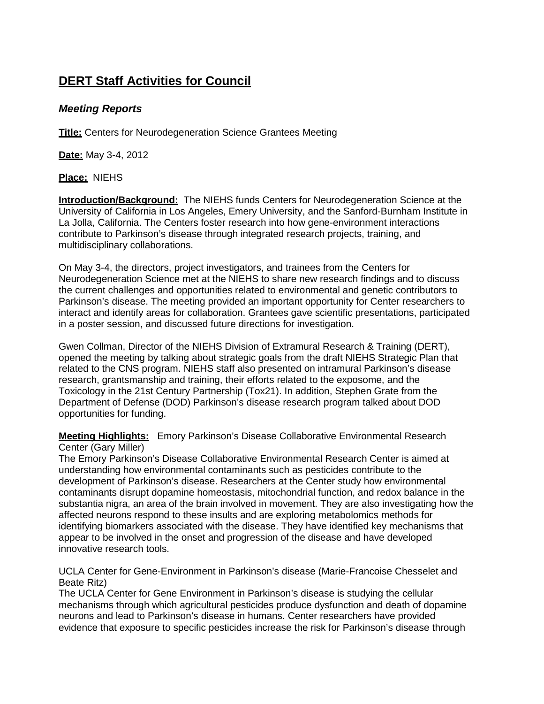# **DERT Staff Activities for Council**

# *Meeting Reports*

**Title:** Centers for Neurodegeneration Science Grantees Meeting

**Date:** May 3-4, 2012

### **Place:** NIEHS

**Introduction/Background:** The NIEHS funds Centers for Neurodegeneration Science at the University of California in Los Angeles, Emery University, and the Sanford-Burnham Institute in La Jolla, California. The Centers foster research into how gene-environment interactions contribute to Parkinson's disease through integrated research projects, training, and multidisciplinary collaborations.

On May 3-4, the directors, project investigators, and trainees from the Centers for Neurodegeneration Science met at the NIEHS to share new research findings and to discuss the current challenges and opportunities related to environmental and genetic contributors to Parkinson's disease. The meeting provided an important opportunity for Center researchers to interact and identify areas for collaboration. Grantees gave scientific presentations, participated in a poster session, and discussed future directions for investigation.

Gwen Collman, Director of the NIEHS Division of Extramural Research & Training (DERT), opened the meeting by talking about strategic goals from the draft NIEHS Strategic Plan that related to the CNS program. NIEHS staff also presented on intramural Parkinson's disease research, grantsmanship and training, their efforts related to the exposome, and the Toxicology in the 21st Century Partnership (Tox21). In addition, Stephen Grate from the Department of Defense (DOD) Parkinson's disease research program talked about DOD opportunities for funding.

**Meeting Highlights:** Emory Parkinson's Disease Collaborative Environmental Research Center (Gary Miller)

The Emory Parkinson's Disease Collaborative Environmental Research Center is aimed at understanding how environmental contaminants such as pesticides contribute to the development of Parkinson's disease. Researchers at the Center study how environmental contaminants disrupt dopamine homeostasis, mitochondrial function, and redox balance in the substantia nigra, an area of the brain involved in movement. They are also investigating how the affected neurons respond to these insults and are exploring metabolomics methods for identifying biomarkers associated with the disease. They have identified key mechanisms that appear to be involved in the onset and progression of the disease and have developed innovative research tools.

UCLA Center for Gene-Environment in Parkinson's disease (Marie-Francoise Chesselet and Beate Ritz)

The UCLA Center for Gene Environment in Parkinson's disease is studying the cellular mechanisms through which agricultural pesticides produce dysfunction and death of dopamine neurons and lead to Parkinson's disease in humans. Center researchers have provided evidence that exposure to specific pesticides increase the risk for Parkinson's disease through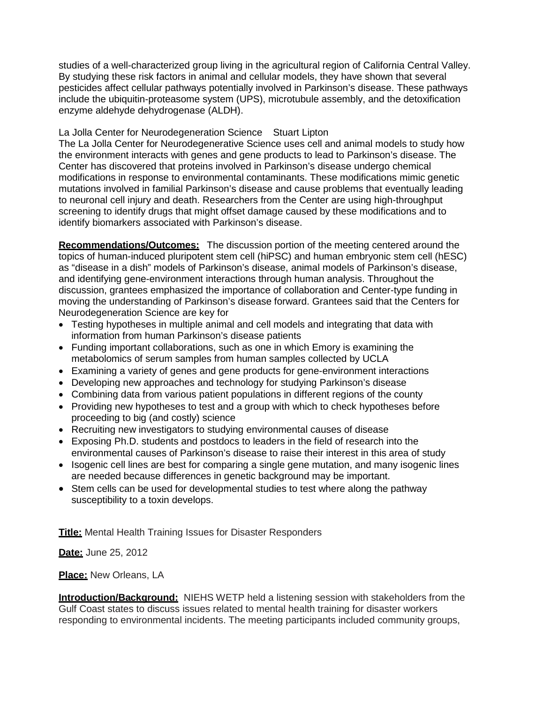studies of a well-characterized group living in the agricultural region of California Central Valley. By studying these risk factors in animal and cellular models, they have shown that several pesticides affect cellular pathways potentially involved in Parkinson's disease. These pathways include the ubiquitin-proteasome system (UPS), microtubule assembly, and the detoxification enzyme aldehyde dehydrogenase (ALDH).

## La Jolla Center for Neurodegeneration Science Stuart Lipton

The La Jolla Center for Neurodegenerative Science uses cell and animal models to study how the environment interacts with genes and gene products to lead to Parkinson's disease. The Center has discovered that proteins involved in Parkinson's disease undergo chemical modifications in response to environmental contaminants. These modifications mimic genetic mutations involved in familial Parkinson's disease and cause problems that eventually leading to neuronal cell injury and death. Researchers from the Center are using high-throughput screening to identify drugs that might offset damage caused by these modifications and to identify biomarkers associated with Parkinson's disease.

**Recommendations/Outcomes:** The discussion portion of the meeting centered around the topics of human-induced pluripotent stem cell (hiPSC) and human embryonic stem cell (hESC) as "disease in a dish" models of Parkinson's disease, animal models of Parkinson's disease, and identifying gene-environment interactions through human analysis. Throughout the discussion, grantees emphasized the importance of collaboration and Center-type funding in moving the understanding of Parkinson's disease forward. Grantees said that the Centers for Neurodegeneration Science are key for

- Testing hypotheses in multiple animal and cell models and integrating that data with information from human Parkinson's disease patients
- Funding important collaborations, such as one in which Emory is examining the metabolomics of serum samples from human samples collected by UCLA
- Examining a variety of genes and gene products for gene-environment interactions
- Developing new approaches and technology for studying Parkinson's disease
- Combining data from various patient populations in different regions of the county
- Providing new hypotheses to test and a group with which to check hypotheses before proceeding to big (and costly) science
- Recruiting new investigators to studying environmental causes of disease
- Exposing Ph.D. students and postdocs to leaders in the field of research into the environmental causes of Parkinson's disease to raise their interest in this area of study
- Isogenic cell lines are best for comparing a single gene mutation, and many isogenic lines are needed because differences in genetic background may be important.
- Stem cells can be used for developmental studies to test where along the pathway susceptibility to a toxin develops.

**Title:** Mental Health Training Issues for Disaster Responders

**Date:** June 25, 2012

### **Place:** New Orleans, LA

**Introduction/Background:** NIEHS WETP held a listening session with stakeholders from the Gulf Coast states to discuss issues related to mental health training for disaster workers responding to environmental incidents. The meeting participants included community groups,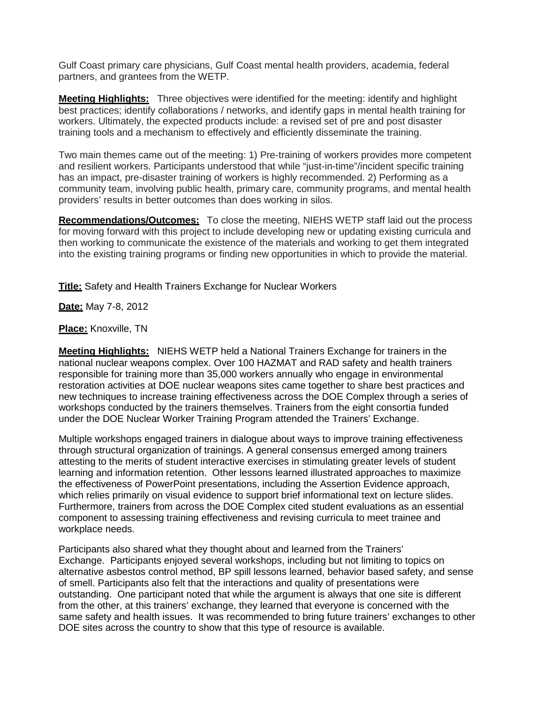Gulf Coast primary care physicians, Gulf Coast mental health providers, academia, federal partners, and grantees from the WETP.

**Meeting Highlights:** Three objectives were identified for the meeting: identify and highlight best practices; identify collaborations / networks, and identify gaps in mental health training for workers. Ultimately, the expected products include: a revised set of pre and post disaster training tools and a mechanism to effectively and efficiently disseminate the training.

Two main themes came out of the meeting: 1) Pre-training of workers provides more competent and resilient workers. Participants understood that while "just-in-time"/incident specific training has an impact, pre-disaster training of workers is highly recommended. 2) Performing as a community team, involving public health, primary care, community programs, and mental health providers' results in better outcomes than does working in silos.

**Recommendations/Outcomes:** To close the meeting, NIEHS WETP staff laid out the process for moving forward with this project to include developing new or updating existing curricula and then working to communicate the existence of the materials and working to get them integrated into the existing training programs or finding new opportunities in which to provide the material.

**Title:** Safety and Health Trainers Exchange for Nuclear Workers

**Date:** May 7-8, 2012

#### **Place:** Knoxville, TN

**Meeting Highlights:** NIEHS WETP held a National Trainers Exchange for trainers in the national nuclear weapons complex. Over 100 HAZMAT and RAD safety and health trainers responsible for training more than 35,000 workers annually who engage in environmental restoration activities at DOE nuclear weapons sites came together to share best practices and new techniques to increase training effectiveness across the DOE Complex through a series of workshops conducted by the trainers themselves. Trainers from the eight consortia funded under the DOE Nuclear Worker Training Program attended the Trainers' Exchange.

Multiple workshops engaged trainers in dialogue about ways to improve training effectiveness through structural organization of trainings. A general consensus emerged among trainers attesting to the merits of student interactive exercises in stimulating greater levels of student learning and information retention. Other lessons learned illustrated approaches to maximize the effectiveness of PowerPoint presentations, including the Assertion Evidence approach, which relies primarily on visual evidence to support brief informational text on lecture slides. Furthermore, trainers from across the DOE Complex cited student evaluations as an essential component to assessing training effectiveness and revising curricula to meet trainee and workplace needs.

Participants also shared what they thought about and learned from the Trainers' Exchange. Participants enjoyed several workshops, including but not limiting to topics on alternative asbestos control method, BP spill lessons learned, behavior based safety, and sense of smell. Participants also felt that the interactions and quality of presentations were outstanding. One participant noted that while the argument is always that one site is different from the other, at this trainers' exchange, they learned that everyone is concerned with the same safety and health issues. It was recommended to bring future trainers' exchanges to other DOE sites across the country to show that this type of resource is available.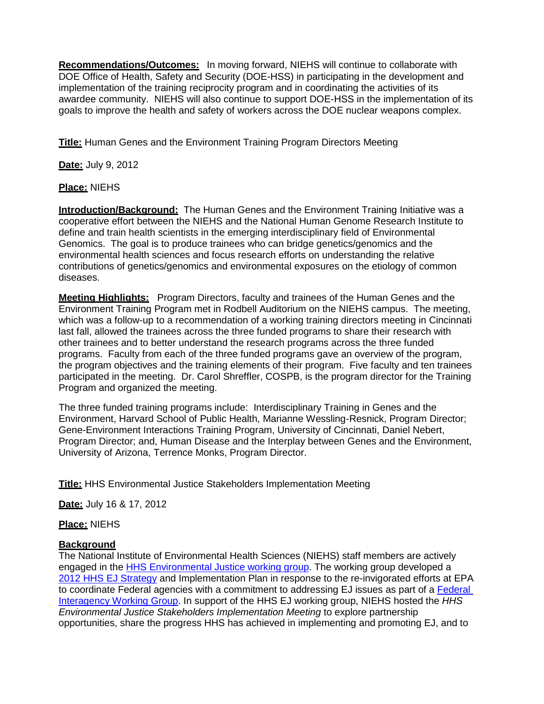**Recommendations/Outcomes:** In moving forward, NIEHS will continue to collaborate with DOE Office of Health, Safety and Security (DOE-HSS) in participating in the development and implementation of the training reciprocity program and in coordinating the activities of its awardee community. NIEHS will also continue to support DOE-HSS in the implementation of its goals to improve the health and safety of workers across the DOE nuclear weapons complex.

**Title:** Human Genes and the Environment Training Program Directors Meeting

**Date:** July 9, 2012

# **Place:** NIEHS

**Introduction/Background:** The Human Genes and the Environment Training Initiative was a cooperative effort between the NIEHS and the National Human Genome Research Institute to define and train health scientists in the emerging interdisciplinary field of Environmental Genomics. The goal is to produce trainees who can bridge genetics/genomics and the environmental health sciences and focus research efforts on understanding the relative contributions of genetics/genomics and environmental exposures on the etiology of common diseases.

**Meeting Highlights:** Program Directors, faculty and trainees of the Human Genes and the Environment Training Program met in Rodbell Auditorium on the NIEHS campus. The meeting, which was a follow-up to a recommendation of a working training directors meeting in Cincinnati last fall, allowed the trainees across the three funded programs to share their research with other trainees and to better understand the research programs across the three funded programs. Faculty from each of the three funded programs gave an overview of the program, the program objectives and the training elements of their program. Five faculty and ten trainees participated in the meeting. Dr. Carol Shreffler, COSPB, is the program director for the Training Program and organized the meeting.

The three funded training programs include: Interdisciplinary Training in Genes and the Environment, Harvard School of Public Health, Marianne Wessling-Resnick, Program Director; Gene-Environment Interactions Training Program, University of Cincinnati, Daniel Nebert, Program Director; and, Human Disease and the Interplay between Genes and the Environment, University of Arizona, Terrence Monks, Program Director.

**Title:** HHS Environmental Justice Stakeholders Implementation Meeting

**Date:** July 16 & 17, 2012

**Place:** NIEHS

# **Background**

The National Institute of Environmental Health Sciences (NIEHS) staff members are actively engaged in the [HHS Environmental Justice working group.](http://www.hhs.gov/environmentaljustice) The working group developed a [2012 HHS EJ Strategy](http://www.hhs.gov/environmentaljustice/strategy.html) and Implementation Plan in response to the re-invigorated efforts at EPA to coordinate [Federal](http://www.epa.gov/compliance/ej/interagency/) agencies with a commitment to addressing EJ issues as part of a Federal [Interagency Working Group.](http://www.epa.gov/compliance/ej/interagency/) In support of the HHS EJ working group, NIEHS hosted the *HHS Environmental Justice Stakeholders Implementation Meeting* to explore partnership opportunities, share the progress HHS has achieved in implementing and promoting EJ, and to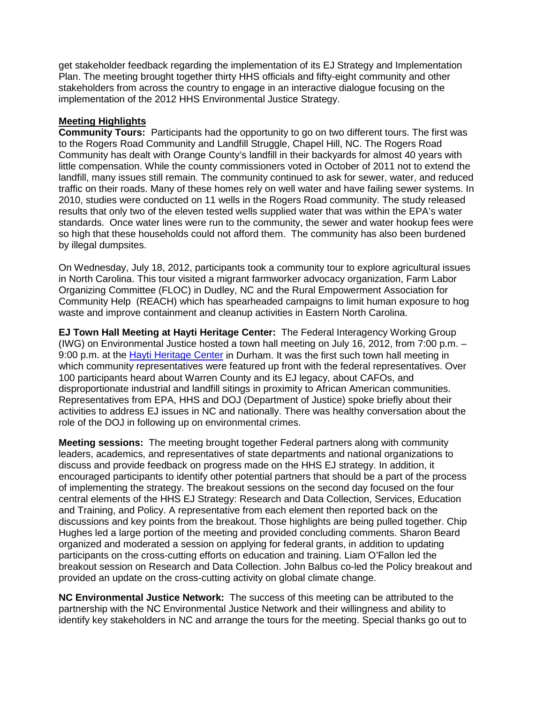get stakeholder feedback regarding the implementation of its EJ Strategy and Implementation Plan. The meeting brought together thirty HHS officials and fifty-eight community and other stakeholders from across the country to engage in an interactive dialogue focusing on the implementation of the 2012 HHS Environmental Justice Strategy.

## **Meeting Highlights**

**Community Tours:** Participants had the opportunity to go on two different tours. The first was to the Rogers Road Community and Landfill Struggle, Chapel Hill, NC. The Rogers Road Community has dealt with Orange County's landfill in their backyards for almost 40 years with little compensation. While the county commissioners voted in October of 2011 not to extend the landfill, many issues still remain. The community continued to ask for sewer, water, and reduced traffic on their roads. Many of these homes rely on well water and have failing sewer systems. In 2010, studies were conducted on 11 wells in the Rogers Road community. The study released results that only two of the eleven tested wells supplied water that was within the EPA's water standards. Once water lines were run to the community, the sewer and water hookup fees were so high that these households could not afford them. The community has also been burdened by illegal dumpsites.

On Wednesday, July 18, 2012, participants took a community tour to explore agricultural issues in North Carolina. This tour visited a migrant farmworker advocacy organization, Farm Labor Organizing Committee (FLOC) in Dudley, NC and the Rural Empowerment Association for Community Help (REACH) which has spearheaded campaigns to limit human exposure to hog waste and improve containment and cleanup activities in Eastern North Carolina.

**EJ Town Hall Meeting at Hayti Heritage Center:** The Federal Interagency Working Group (IWG) on Environmental Justice hosted a town hall meeting on July 16, 2012, from 7:00 p.m. – 9:00 p.m. at the [Hayti Heritage Center](http://www.hayti.org/) in Durham. It was the first such town hall meeting in which community representatives were featured up front with the federal representatives. Over 100 participants heard about Warren County and its EJ legacy, about CAFOs, and disproportionate industrial and landfill sitings in proximity to African American communities. Representatives from EPA, HHS and DOJ (Department of Justice) spoke briefly about their activities to address EJ issues in NC and nationally. There was healthy conversation about the role of the DOJ in following up on environmental crimes.

**Meeting sessions:** The meeting brought together Federal partners along with community leaders, academics, and representatives of state departments and national organizations to discuss and provide feedback on progress made on the HHS EJ strategy. In addition, it encouraged participants to identify other potential partners that should be a part of the process of implementing the strategy. The breakout sessions on the second day focused on the four central elements of the HHS EJ Strategy: Research and Data Collection, Services, Education and Training, and Policy. A representative from each element then reported back on the discussions and key points from the breakout. Those highlights are being pulled together. Chip Hughes led a large portion of the meeting and provided concluding comments. Sharon Beard organized and moderated a session on applying for federal grants, in addition to updating participants on the cross-cutting efforts on education and training. Liam O'Fallon led the breakout session on Research and Data Collection. John Balbus co-led the Policy breakout and provided an update on the cross-cutting activity on global climate change.

**NC Environmental Justice Network:** The success of this meeting can be attributed to the partnership with the NC Environmental Justice Network and their willingness and ability to identify key stakeholders in NC and arrange the tours for the meeting. Special thanks go out to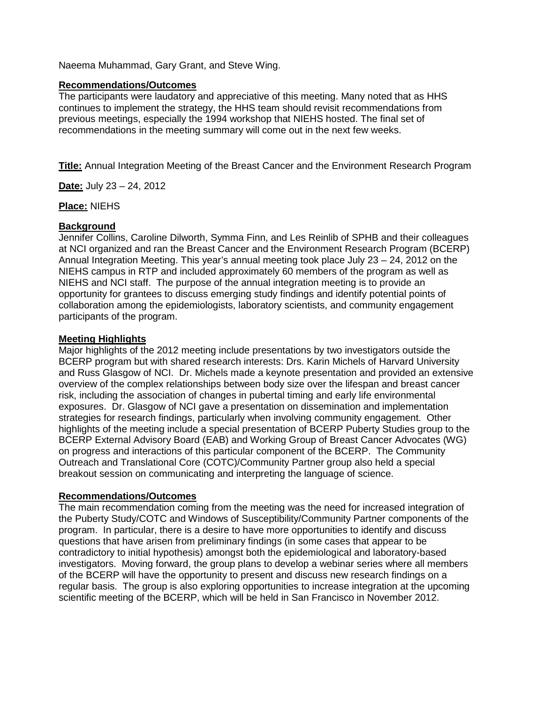Naeema Muhammad, Gary Grant, and Steve Wing.

#### **Recommendations/Outcomes**

The participants were laudatory and appreciative of this meeting. Many noted that as HHS continues to implement the strategy, the HHS team should revisit recommendations from previous meetings, especially the 1994 workshop that NIEHS hosted. The final set of recommendations in the meeting summary will come out in the next few weeks.

**Title:** Annual Integration Meeting of the Breast Cancer and the Environment Research Program

**Date:** July 23 – 24, 2012

#### **Place:** NIEHS

#### **Background**

Jennifer Collins, Caroline Dilworth, Symma Finn, and Les Reinlib of SPHB and their colleagues at NCI organized and ran the Breast Cancer and the Environment Research Program (BCERP) Annual Integration Meeting. This year's annual meeting took place July 23 – 24, 2012 on the NIEHS campus in RTP and included approximately 60 members of the program as well as NIEHS and NCI staff. The purpose of the annual integration meeting is to provide an opportunity for grantees to discuss emerging study findings and identify potential points of collaboration among the epidemiologists, laboratory scientists, and community engagement participants of the program.

#### **Meeting Highlights**

Major highlights of the 2012 meeting include presentations by two investigators outside the BCERP program but with shared research interests: Drs. Karin Michels of Harvard University and Russ Glasgow of NCI. Dr. Michels made a keynote presentation and provided an extensive overview of the complex relationships between body size over the lifespan and breast cancer risk, including the association of changes in pubertal timing and early life environmental exposures. Dr. Glasgow of NCI gave a presentation on dissemination and implementation strategies for research findings, particularly when involving community engagement. Other highlights of the meeting include a special presentation of BCERP Puberty Studies group to the BCERP External Advisory Board (EAB) and Working Group of Breast Cancer Advocates (WG) on progress and interactions of this particular component of the BCERP. The Community Outreach and Translational Core (COTC)/Community Partner group also held a special breakout session on communicating and interpreting the language of science.

#### **Recommendations/Outcomes**

The main recommendation coming from the meeting was the need for increased integration of the Puberty Study/COTC and Windows of Susceptibility/Community Partner components of the program. In particular, there is a desire to have more opportunities to identify and discuss questions that have arisen from preliminary findings (in some cases that appear to be contradictory to initial hypothesis) amongst both the epidemiological and laboratory-based investigators. Moving forward, the group plans to develop a webinar series where all members of the BCERP will have the opportunity to present and discuss new research findings on a regular basis. The group is also exploring opportunities to increase integration at the upcoming scientific meeting of the BCERP, which will be held in San Francisco in November 2012.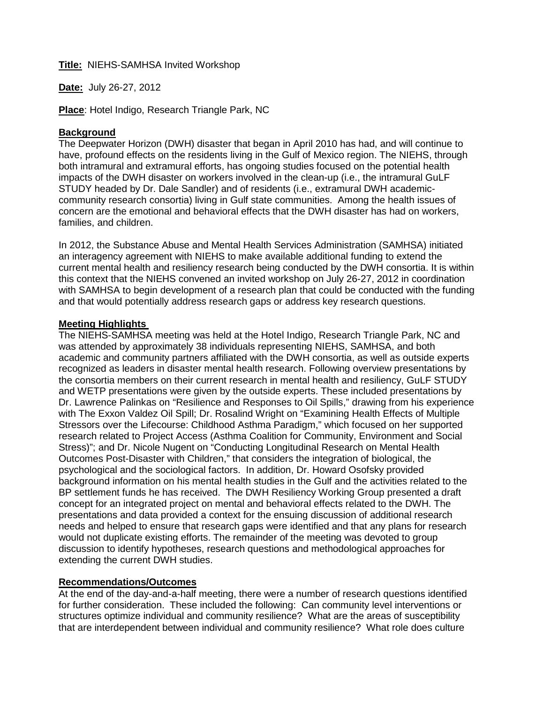#### **Title:** NIEHS-SAMHSA Invited Workshop

**Date:** July 26-27, 2012

**Place**: Hotel Indigo, Research Triangle Park, NC

#### **Background**

The Deepwater Horizon (DWH) disaster that began in April 2010 has had, and will continue to have, profound effects on the residents living in the Gulf of Mexico region. The NIEHS, through both intramural and extramural efforts, has ongoing studies focused on the potential health impacts of the DWH disaster on workers involved in the clean-up (i.e., the intramural GuLF STUDY headed by Dr. Dale Sandler) and of residents (i.e., extramural DWH academiccommunity research consortia) living in Gulf state communities. Among the health issues of concern are the emotional and behavioral effects that the DWH disaster has had on workers, families, and children.

In 2012, the Substance Abuse and Mental Health Services Administration (SAMHSA) initiated an interagency agreement with NIEHS to make available additional funding to extend the current mental health and resiliency research being conducted by the DWH consortia. It is within this context that the NIEHS convened an invited workshop on July 26-27, 2012 in coordination with SAMHSA to begin development of a research plan that could be conducted with the funding and that would potentially address research gaps or address key research questions.

#### **Meeting Highlights**

The NIEHS-SAMHSA meeting was held at the Hotel Indigo, Research Triangle Park, NC and was attended by approximately 38 individuals representing NIEHS, SAMHSA, and both academic and community partners affiliated with the DWH consortia, as well as outside experts recognized as leaders in disaster mental health research. Following overview presentations by the consortia members on their current research in mental health and resiliency, GuLF STUDY and WETP presentations were given by the outside experts. These included presentations by Dr. Lawrence Palinkas on "Resilience and Responses to Oil Spills," drawing from his experience with The Exxon Valdez Oil Spill; Dr. Rosalind Wright on "Examining Health Effects of Multiple Stressors over the Lifecourse: Childhood Asthma Paradigm," which focused on her supported research related to Project Access (Asthma Coalition for Community, Environment and Social Stress)"; and Dr. Nicole Nugent on "Conducting Longitudinal Research on Mental Health Outcomes Post-Disaster with Children," that considers the integration of biological, the psychological and the sociological factors. In addition, Dr. Howard Osofsky provided background information on his mental health studies in the Gulf and the activities related to the BP settlement funds he has received. The DWH Resiliency Working Group presented a draft concept for an integrated project on mental and behavioral effects related to the DWH. The presentations and data provided a context for the ensuing discussion of additional research needs and helped to ensure that research gaps were identified and that any plans for research would not duplicate existing efforts. The remainder of the meeting was devoted to group discussion to identify hypotheses, research questions and methodological approaches for extending the current DWH studies.

### **Recommendations/Outcomes**

At the end of the day-and-a-half meeting, there were a number of research questions identified for further consideration. These included the following: Can community level interventions or structures optimize individual and community resilience? What are the areas of susceptibility that are interdependent between individual and community resilience? What role does culture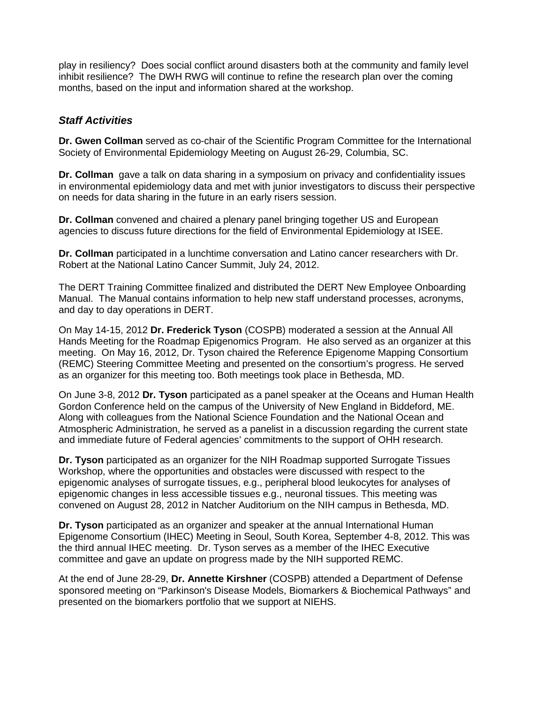play in resiliency? Does social conflict around disasters both at the community and family level inhibit resilience? The DWH RWG will continue to refine the research plan over the coming months, based on the input and information shared at the workshop.

# *Staff Activities*

**Dr. Gwen Collman** served as co-chair of the Scientific Program Committee for the International Society of Environmental Epidemiology Meeting on August 26-29, Columbia, SC.

**Dr. Collman** gave a talk on data sharing in a symposium on privacy and confidentiality issues in environmental epidemiology data and met with junior investigators to discuss their perspective on needs for data sharing in the future in an early risers session.

**Dr. Collman** convened and chaired a plenary panel bringing together US and European agencies to discuss future directions for the field of Environmental Epidemiology at ISEE.

**Dr. Collman** participated in a lunchtime conversation and Latino cancer researchers with Dr. Robert at the National Latino Cancer Summit, July 24, 2012.

The DERT Training Committee finalized and distributed the DERT New Employee Onboarding Manual. The Manual contains information to help new staff understand processes, acronyms, and day to day operations in DERT.

On May 14-15, 2012 **Dr. Frederick Tyson** (COSPB) moderated a session at the Annual All Hands Meeting for the Roadmap Epigenomics Program. He also served as an organizer at this meeting. On May 16, 2012, Dr. Tyson chaired the Reference Epigenome Mapping Consortium (REMC) Steering Committee Meeting and presented on the consortium's progress. He served as an organizer for this meeting too. Both meetings took place in Bethesda, MD.

On June 3-8, 2012 **Dr. Tyson** participated as a panel speaker at the Oceans and Human Health Gordon Conference held on the campus of the University of New England in Biddeford, ME. Along with colleagues from the National Science Foundation and the National Ocean and Atmospheric Administration, he served as a panelist in a discussion regarding the current state and immediate future of Federal agencies' commitments to the support of OHH research.

**Dr. Tyson** participated as an organizer for the NIH Roadmap supported Surrogate Tissues Workshop, where the opportunities and obstacles were discussed with respect to the epigenomic analyses of surrogate tissues, e.g., peripheral blood leukocytes for analyses of epigenomic changes in less accessible tissues e.g., neuronal tissues. This meeting was convened on August 28, 2012 in Natcher Auditorium on the NIH campus in Bethesda, MD.

**Dr. Tyson** participated as an organizer and speaker at the annual International Human Epigenome Consortium (IHEC) Meeting in Seoul, South Korea, September 4-8, 2012. This was the third annual IHEC meeting. Dr. Tyson serves as a member of the IHEC Executive committee and gave an update on progress made by the NIH supported REMC.

At the end of June 28-29, **Dr. Annette Kirshner** (COSPB) attended a Department of Defense sponsored meeting on "Parkinson's Disease Models, Biomarkers & Biochemical Pathways" and presented on the biomarkers portfolio that we support at NIEHS.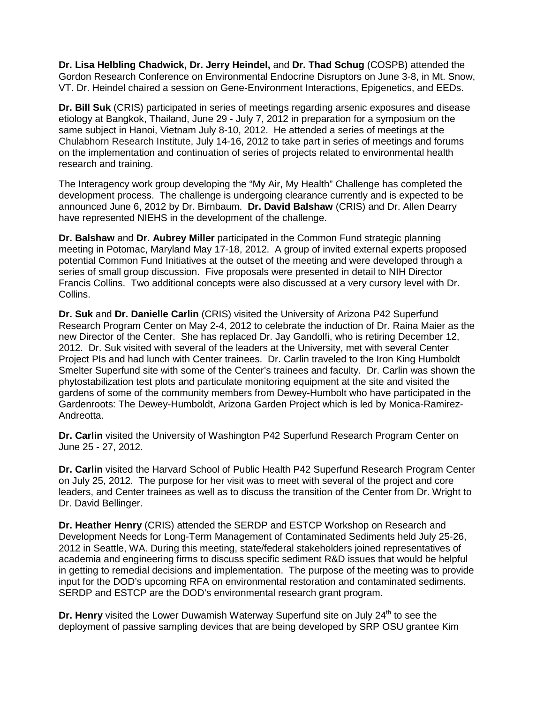**Dr. Lisa Helbling Chadwick, Dr. Jerry Heindel,** and **Dr. Thad Schug** (COSPB) attended the Gordon Research Conference on Environmental Endocrine Disruptors on June 3-8, in Mt. Snow, VT. Dr. Heindel chaired a session on Gene-Environment Interactions, Epigenetics, and EEDs.

**Dr. Bill Suk** (CRIS) participated in series of meetings regarding arsenic exposures and disease etiology at Bangkok, Thailand, June 29 - July 7, 2012 in preparation for a symposium on the same subject in Hanoi, Vietnam July 8-10, 2012. He attended a series of meetings at the Chulabhorn Research Institute, July 14-16, 2012 to take part in series of meetings and forums on the implementation and continuation of series of projects related to environmental health research and training.

The Interagency work group developing the "My Air, My Health" Challenge has completed the development process. The challenge is undergoing clearance currently and is expected to be announced June 6, 2012 by Dr. Birnbaum. **Dr. David Balshaw** (CRIS) and Dr. Allen Dearry have represented NIEHS in the development of the challenge.

**Dr. Balshaw** and **Dr. Aubrey Miller** participated in the Common Fund strategic planning meeting in Potomac, Maryland May 17-18, 2012. A group of invited external experts proposed potential Common Fund Initiatives at the outset of the meeting and were developed through a series of small group discussion. Five proposals were presented in detail to NIH Director Francis Collins. Two additional concepts were also discussed at a very cursory level with Dr. Collins.

**Dr. Suk** and **Dr. Danielle Carlin** (CRIS) visited the University of Arizona P42 Superfund Research Program Center on May 2-4, 2012 to celebrate the induction of Dr. Raina Maier as the new Director of the Center. She has replaced Dr. Jay Gandolfi, who is retiring December 12, 2012. Dr. Suk visited with several of the leaders at the University, met with several Center Project PIs and had lunch with Center trainees. Dr. Carlin traveled to the Iron King Humboldt Smelter Superfund site with some of the Center's trainees and faculty. Dr. Carlin was shown the phytostabilization test plots and particulate monitoring equipment at the site and visited the gardens of some of the community members from Dewey-Humbolt who have participated in the Gardenroots: The Dewey-Humboldt, Arizona Garden Project which is led by Monica-Ramirez-Andreotta.

**Dr. Carlin** visited the University of Washington P42 Superfund Research Program Center on June 25 - 27, 2012.

**Dr. Carlin** visited the Harvard School of Public Health P42 Superfund Research Program Center on July 25, 2012. The purpose for her visit was to meet with several of the project and core leaders, and Center trainees as well as to discuss the transition of the Center from Dr. Wright to Dr. David Bellinger.

**Dr. Heather Henry** (CRIS) attended the SERDP and ESTCP Workshop on Research and Development Needs for Long-Term Management of Contaminated Sediments held July 25-26, 2012 in Seattle, WA. During this meeting, state/federal stakeholders joined representatives of academia and engineering firms to discuss specific sediment R&D issues that would be helpful in getting to remedial decisions and implementation. The purpose of the meeting was to provide input for the DOD's upcoming RFA on environmental restoration and contaminated sediments. SERDP and ESTCP are the DOD's environmental research grant program.

**Dr. Henry** visited the Lower Duwamish Waterway Superfund site on July 24<sup>th</sup> to see the deployment of passive sampling devices that are being developed by SRP OSU grantee Kim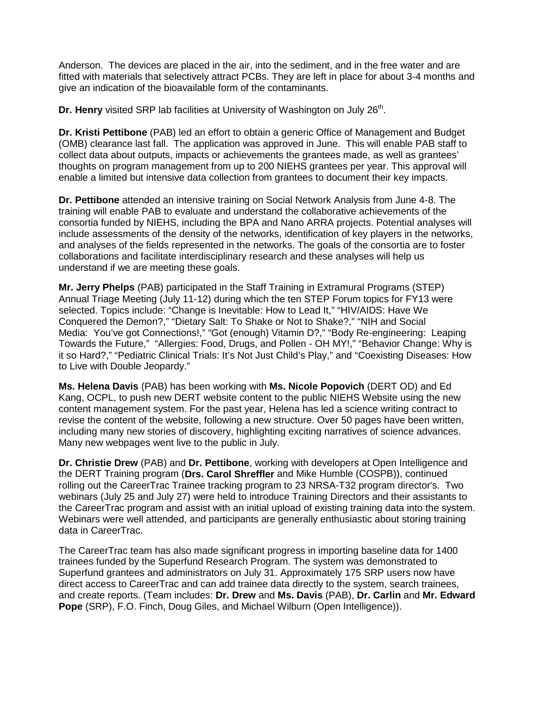Anderson. The devices are placed in the air, into the sediment, and in the free water and are fitted with materials that selectively attract PCBs. They are left in place for about 3-4 months and give an indication of the bioavailable form of the contaminants.

**Dr. Henry** visited SRP lab facilities at University of Washington on July 26<sup>th</sup>.

**Dr. Kristi Pettibone** (PAB) led an effort to obtain a generic Office of Management and Budget (OMB) clearance last fall. The application was approved in June. This will enable PAB staff to collect data about outputs, impacts or achievements the grantees made, as well as grantees' thoughts on program management from up to 200 NIEHS grantees per year. This approval will enable a limited but intensive data collection from grantees to document their key impacts.

**Dr. Pettibone** attended an intensive training on Social Network Analysis from June 4-8. The training will enable PAB to evaluate and understand the collaborative achievements of the consortia funded by NIEHS, including the BPA and Nano ARRA projects. Potential analyses will include assessments of the density of the networks, identification of key players in the networks, and analyses of the fields represented in the networks. The goals of the consortia are to foster collaborations and facilitate interdisciplinary research and these analyses will help us understand if we are meeting these goals.

**Mr. Jerry Phelps** (PAB) participated in the Staff Training in Extramural Programs (STEP) Annual Triage Meeting (July 11-12) during which the ten STEP Forum topics for FY13 were selected. Topics include: "Change is Inevitable: How to Lead It," "HIV/AIDS: Have We Conquered the Demon?," "Dietary Salt: To Shake or Not to Shake?," "NIH and Social Media: You've got Connections!," "Got (enough) Vitamin D?," "Body Re-engineering: Leaping Towards the Future," "Allergies: Food, Drugs, and Pollen - OH MY!," "Behavior Change: Why is it so Hard?," "Pediatric Clinical Trials: It's Not Just Child's Play," and "Coexisting Diseases: How to Live with Double Jeopardy."

**Ms. Helena Davis** (PAB) has been working with **Ms. Nicole Popovich** (DERT OD) and Ed Kang, OCPL, to push new DERT website content to the public NIEHS Website using the new content management system. For the past year, Helena has led a science writing contract to revise the content of the website, following a new structure. Over 50 pages have been written, including many new stories of discovery, highlighting exciting narratives of science advances. Many new webpages went live to the public in July.

**Dr. Christie Drew** (PAB) and **Dr. Pettibone**, working with developers at Open Intelligence and the DERT Training program (**Drs. Carol Shreffler** and Mike Humble (COSPB)), continued rolling out the CareerTrac Trainee tracking program to 23 NRSA-T32 program director's. Two webinars (July 25 and July 27) were held to introduce Training Directors and their assistants to the CareerTrac program and assist with an initial upload of existing training data into the system. Webinars were well attended, and participants are generally enthusiastic about storing training data in CareerTrac.

The CareerTrac team has also made significant progress in importing baseline data for 1400 trainees funded by the Superfund Research Program. The system was demonstrated to Superfund grantees and administrators on July 31. Approximately 175 SRP users now have direct access to CareerTrac and can add trainee data directly to the system, search trainees, and create reports. (Team includes: **Dr. Drew** and **Ms. Davis** (PAB), **Dr. Carlin** and **Mr. Edward Pope** (SRP), F.O. Finch, Doug Giles, and Michael Wilburn (Open Intelligence)).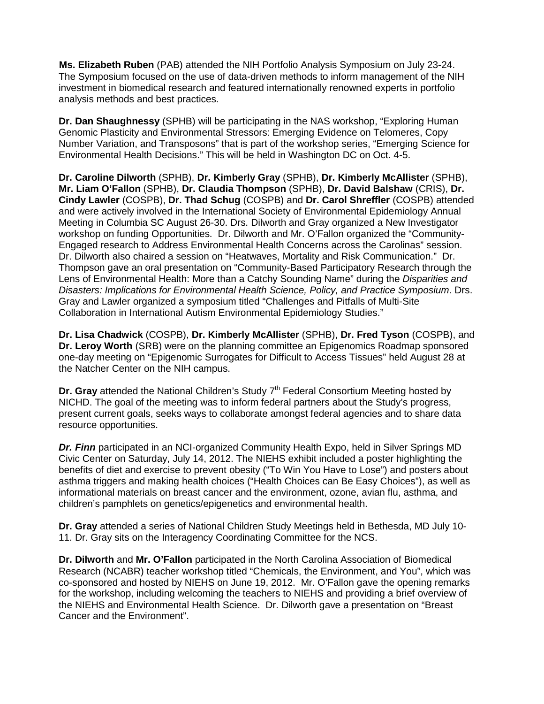**Ms. Elizabeth Ruben** (PAB) attended the NIH Portfolio Analysis Symposium on July 23-24. The Symposium focused on the use of data-driven methods to inform management of the NIH investment in biomedical research and featured internationally renowned experts in portfolio analysis methods and best practices.

**Dr. Dan Shaughnessy** (SPHB) will be participating in the NAS workshop, "Exploring Human Genomic Plasticity and Environmental Stressors: Emerging Evidence on Telomeres, Copy Number Variation, and Transposons" that is part of the workshop series, "Emerging Science for Environmental Health Decisions." This will be held in Washington DC on Oct. 4-5.

**Dr. Caroline Dilworth** (SPHB), **Dr. Kimberly Gray** (SPHB), **Dr. Kimberly McAllister** (SPHB), **Mr. Liam O'Fallon** (SPHB), **Dr. Claudia Thompson** (SPHB), **Dr. David Balshaw** (CRIS), **Dr. Cindy Lawler** (COSPB), **Dr. Thad Schug** (COSPB) and **Dr. Carol Shreffler** (COSPB) attended and were actively involved in the International Society of Environmental Epidemiology Annual Meeting in Columbia SC August 26-30. Drs. Dilworth and Gray organized a New Investigator workshop on funding Opportunities. Dr. Dilworth and Mr. O'Fallon organized the "Community-Engaged research to Address Environmental Health Concerns across the Carolinas" session. Dr. Dilworth also chaired a session on "Heatwaves, Mortality and Risk Communication." Dr. Thompson gave an oral presentation on "Community-Based Participatory Research through the Lens of Environmental Health: More than a Catchy Sounding Name" during the *Disparities and Disasters: Implications for Environmental Health Science, Policy, and Practice Symposium*. Drs. Gray and Lawler organized a symposium titled "Challenges and Pitfalls of Multi-Site Collaboration in International Autism Environmental Epidemiology Studies."

**Dr. Lisa Chadwick** (COSPB), **Dr. Kimberly McAllister** (SPHB), **Dr. Fred Tyson** (COSPB), and **Dr. Leroy Worth** (SRB) were on the planning committee an Epigenomics Roadmap sponsored one-day meeting on "Epigenomic Surrogates for Difficult to Access Tissues" held August 28 at the Natcher Center on the NIH campus.

**Dr. Gray** attended the National Children's Study 7<sup>th</sup> Federal Consortium Meeting hosted by NICHD. The goal of the meeting was to inform federal partners about the Study's progress, present current goals, seeks ways to collaborate amongst federal agencies and to share data resource opportunities.

*Dr. Finn* participated in an NCI-organized Community Health Expo, held in Silver Springs MD Civic Center on Saturday, July 14, 2012. The NIEHS exhibit included a poster highlighting the benefits of diet and exercise to prevent obesity ("To Win You Have to Lose") and posters about asthma triggers and making health choices ("Health Choices can Be Easy Choices"), as well as informational materials on breast cancer and the environment, ozone, avian flu, asthma, and children's pamphlets on genetics/epigenetics and environmental health.

**Dr. Gray** attended a series of National Children Study Meetings held in Bethesda, MD July 10- 11. Dr. Gray sits on the Interagency Coordinating Committee for the NCS.

**Dr. Dilworth** and **Mr. O'Fallon** participated in the North Carolina Association of Biomedical Research (NCABR) teacher workshop titled "Chemicals, the Environment, and You", which was co-sponsored and hosted by NIEHS on June 19, 2012. Mr. O'Fallon gave the opening remarks for the workshop, including welcoming the teachers to NIEHS and providing a brief overview of the NIEHS and Environmental Health Science. Dr. Dilworth gave a presentation on "Breast Cancer and the Environment".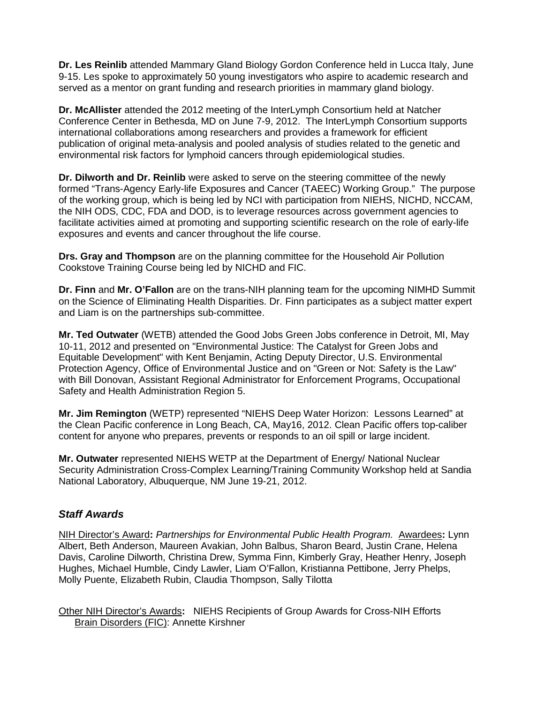**Dr. Les Reinlib** attended Mammary Gland Biology Gordon Conference held in Lucca Italy, June 9-15. Les spoke to approximately 50 young investigators who aspire to academic research and served as a mentor on grant funding and research priorities in mammary gland biology.

**Dr. McAllister** attended the 2012 meeting of the InterLymph Consortium held at Natcher Conference Center in Bethesda, MD on June 7-9, 2012. The InterLymph Consortium supports international collaborations among researchers and provides a framework for efficient publication of original meta-analysis and pooled analysis of studies related to the genetic and environmental risk factors for lymphoid cancers through epidemiological studies.

**Dr. Dilworth and Dr. Reinlib** were asked to serve on the steering committee of the newly formed "Trans-Agency Early-life Exposures and Cancer (TAEEC) Working Group." The purpose of the working group, which is being led by NCI with participation from NIEHS, NICHD, NCCAM, the NIH ODS, CDC, FDA and DOD, is to leverage resources across government agencies to facilitate activities aimed at promoting and supporting scientific research on the role of early-life exposures and events and cancer throughout the life course.

**Drs. Gray and Thompson** are on the planning committee for the Household Air Pollution Cookstove Training Course being led by NICHD and FIC.

**Dr. Finn** and **Mr. O'Fallon** are on the trans-NIH planning team for the upcoming NIMHD Summit on the Science of Eliminating Health Disparities. Dr. Finn participates as a subject matter expert and Liam is on the partnerships sub-committee.

**Mr. Ted Outwater** (WETB) attended the Good Jobs Green Jobs conference in Detroit, MI, May 10-11, 2012 and presented on "Environmental Justice: The Catalyst for Green Jobs and Equitable Development" with Kent Benjamin, Acting Deputy Director, U.S. Environmental Protection Agency, Office of Environmental Justice and on "Green or Not: Safety is the Law" with Bill Donovan, Assistant Regional Administrator for Enforcement Programs, Occupational Safety and Health Administration Region 5.

**Mr. Jim Remington** (WETP) represented "NIEHS Deep Water Horizon: Lessons Learned" at the Clean Pacific conference in Long Beach, CA, May16, 2012. Clean Pacific offers top-caliber content for anyone who prepares, prevents or responds to an oil spill or large incident.

**Mr. Outwater** represented NIEHS WETP at the Department of Energy/ National Nuclear Security Administration Cross-Complex Learning/Training Community Workshop held at Sandia National Laboratory, Albuquerque, NM June 19-21, 2012.

# *Staff Awards*

NIH Director's Award**:** *Partnerships for Environmental Public Health Program.* Awardees**:** Lynn Albert, Beth Anderson, Maureen Avakian, John Balbus, Sharon Beard, Justin Crane, Helena Davis, Caroline Dilworth, Christina Drew, Symma Finn, Kimberly Gray, Heather Henry, Joseph Hughes, Michael Humble, Cindy Lawler, Liam O'Fallon, Kristianna Pettibone, Jerry Phelps, Molly Puente, Elizabeth Rubin, Claudia Thompson, Sally Tilotta

Other NIH Director's Awards**:** NIEHS Recipients of Group Awards for Cross-NIH Efforts Brain Disorders (FIC): Annette Kirshner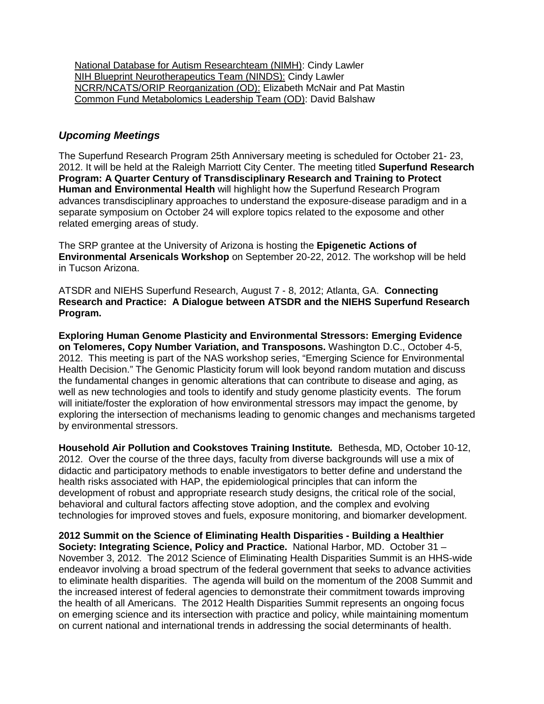National Database for Autism Researchteam (NIMH): Cindy Lawler NIH Blueprint Neurotherapeutics Team (NINDS): Cindy Lawler NCRR/NCATS/ORIP Reorganization (OD): Elizabeth McNair and Pat Mastin Common Fund Metabolomics Leadership Team (OD): David Balshaw

# *Upcoming Meetings*

The Superfund Research Program 25th Anniversary meeting is scheduled for October 21- 23, 2012. It will be held at the Raleigh Marriott City Center. The meeting titled **Superfund Research Program: A Quarter Century of Transdisciplinary Research and Training to Protect Human and Environmental Health** will highlight how the Superfund Research Program advances transdisciplinary approaches to understand the exposure-disease paradigm and in a separate symposium on October 24 will explore topics related to the exposome and other related emerging areas of study.

The SRP grantee at the University of Arizona is hosting the **Epigenetic Actions of Environmental Arsenicals Workshop** on September 20-22, 2012. The workshop will be held in Tucson Arizona.

ATSDR and NIEHS Superfund Research, August 7 - 8, 2012; Atlanta, GA. **Connecting Research and Practice: A Dialogue between ATSDR and the NIEHS Superfund Research Program.**

**Exploring Human Genome Plasticity and Environmental Stressors: Emerging Evidence on Telomeres, Copy Number Variation, and Transposons.** Washington D.C., October 4-5, 2012. This meeting is part of the NAS workshop series, "Emerging Science for Environmental Health Decision." The Genomic Plasticity forum will look beyond random mutation and discuss the fundamental changes in genomic alterations that can contribute to disease and aging, as well as new technologies and tools to identify and study genome plasticity events. The forum will initiate/foster the exploration of how environmental stressors may impact the genome, by exploring the intersection of mechanisms leading to genomic changes and mechanisms targeted by environmental stressors.

**Household Air Pollution and Cookstoves Training Institute***.* Bethesda, MD, October 10-12, 2012. Over the course of the three days, faculty from diverse backgrounds will use a mix of didactic and participatory methods to enable investigators to better define and understand the health risks associated with HAP, the epidemiological principles that can inform the development of robust and appropriate research study designs, the critical role of the social, behavioral and cultural factors affecting stove adoption, and the complex and evolving technologies for improved stoves and fuels, exposure monitoring, and biomarker development.

**2012 Summit on the Science of Eliminating Health Disparities - Building a Healthier Society: Integrating Science, Policy and Practice.** National Harbor, MD. October 31 – November 3, 2012. The 2012 Science of Eliminating Health Disparities Summit is an HHS-wide endeavor involving a broad spectrum of the federal government that seeks to advance activities to eliminate health disparities. The agenda will build on the momentum of the 2008 Summit and the increased interest of federal agencies to demonstrate their commitment towards improving the health of all Americans. The 2012 Health Disparities Summit represents an ongoing focus on emerging science and its intersection with practice and policy, while maintaining momentum on current national and international trends in addressing the social determinants of health.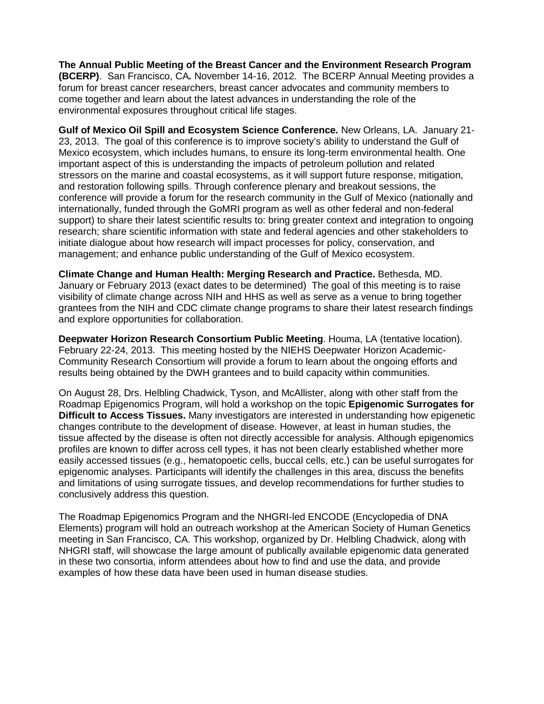**The Annual Public Meeting of the Breast Cancer and the Environment Research Program (BCERP)**. San Francisco, CA*.* November 14-16, 2012. The BCERP Annual Meeting provides a forum for breast cancer researchers, breast cancer advocates and community members to come together and learn about the latest advances in understanding the role of the environmental exposures throughout critical life stages.

**Gulf of Mexico Oil Spill and Ecosystem Science Conference.** New Orleans, LA. January 21- 23, 2013. The goal of this conference is to improve society's ability to understand the Gulf of Mexico ecosystem, which includes humans, to ensure its long-term environmental health. One important aspect of this is understanding the impacts of petroleum pollution and related stressors on the marine and coastal ecosystems, as it will support future response, mitigation, and restoration following spills. Through conference plenary and breakout sessions, the conference will provide a forum for the research community in the Gulf of Mexico (nationally and internationally, funded through the GoMRI program as well as other federal and non-federal support) to share their latest scientific results to: bring greater context and integration to ongoing research; share scientific information with state and federal agencies and other stakeholders to initiate dialogue about how research will impact processes for policy, conservation, and management; and enhance public understanding of the Gulf of Mexico ecosystem.

**Climate Change and Human Health: Merging Research and Practice.** Bethesda, MD. January or February 2013 (exact dates to be determined) The goal of this meeting is to raise visibility of climate change across NIH and HHS as well as serve as a venue to bring together grantees from the NIH and CDC climate change programs to share their latest research findings and explore opportunities for collaboration.

**Deepwater Horizon Research Consortium Public Meeting**. Houma, LA (tentative location). February 22-24, 2013. This meeting hosted by the NIEHS Deepwater Horizon Academic-Community Research Consortium will provide a forum to learn about the ongoing efforts and results being obtained by the DWH grantees and to build capacity within communities.

On August 28, Drs. Helbling Chadwick, Tyson, and McAllister, along with other staff from the Roadmap Epigenomics Program, will hold a workshop on the topic **Epigenomic Surrogates for Difficult to Access Tissues.** Many investigators are interested in understanding how epigenetic changes contribute to the development of disease. However, at least in human studies, the tissue affected by the disease is often not directly accessible for analysis. Although epigenomics profiles are known to differ across cell types, it has not been clearly established whether more easily accessed tissues (e.g., hematopoetic cells, buccal cells, etc.) can be useful surrogates for epigenomic analyses. Participants will identify the challenges in this area, discuss the benefits and limitations of using surrogate tissues, and develop recommendations for further studies to conclusively address this question.

The Roadmap Epigenomics Program and the NHGRI-led ENCODE (Encyclopedia of DNA Elements) program will hold an outreach workshop at the American Society of Human Genetics meeting in San Francisco, CA. This workshop, organized by Dr. Helbling Chadwick, along with NHGRI staff, will showcase the large amount of publically available epigenomic data generated in these two consortia, inform attendees about how to find and use the data, and provide examples of how these data have been used in human disease studies.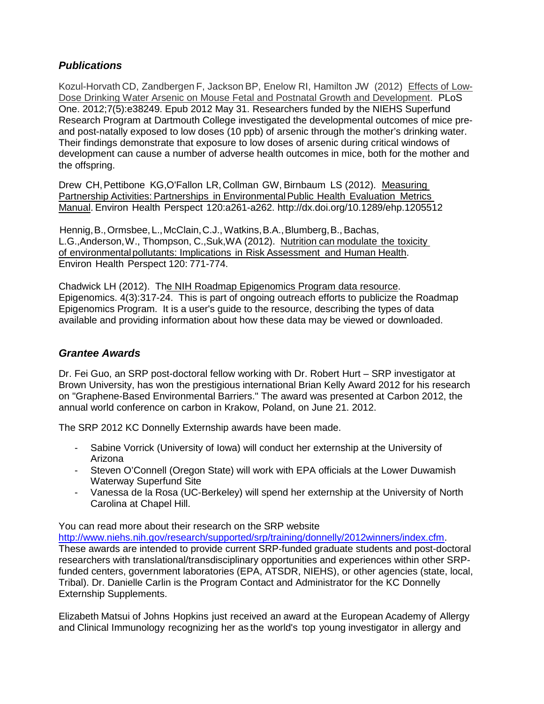# *Publications*

Kozul-Horvath CD, Zandbergen F, Jackson BP, Enelow RI, Hamilton JW (2012) Effects of Low-Dose Drinking Water Arsenic on Mouse Fetal and Postnatal Growth and Development. [PLoS](http://www.ncbi.nlm.nih.gov/pubmed?term=Kozul-Horvath%20CD)  [One.](http://www.ncbi.nlm.nih.gov/pubmed?term=Kozul-Horvath%20CD) 2012;7(5):e38249. Epub 2012 May 31. Researchers funded by the NIEHS Superfund Research Program at Dartmouth College investigated the developmental outcomes of mice preand post-natally exposed to low doses (10 ppb) of arsenic through the mother's drinking water. Their findings demonstrate that exposure to low doses of arsenic during critical windows of development can cause a number of adverse health outcomes in mice, both for the mother and the offspring.

Drew CH,Pettibone KG,O'Fallon LR,Collman GW, Birnbaum LS (2012). Measuring Partnership Activities: Partnerships in Environmental Public Health Evaluation Metrics Manual. Environ Health Perspect 120:a261-a262.<http://dx.doi.org/10.1289/ehp.1205512>

Hennig, B., Ormsbee, L., McClain, C.J., Watkins, B.A., Blumberg, B., Bachas, L.G.,Anderson,W., Thompson, C.,Suk,WA (2012). Nutrition can modulate the toxicity of environmentalpollutants: Implications in Risk Assessment and Human Health. Environ Health Perspect 120: 771-774.

Chadwick LH (2012). [The NIH Roadmap Epigenomics Program data resource.](http://www.ncbi.nlm.nih.gov/pubmed/22690667)  Epigenomics. 4(3):317-24. This is part of ongoing outreach efforts to publicize the Roadmap Epigenomics Program. It is a user's guide to the resource, describing the types of data available and providing information about how these data may be viewed or downloaded.

# *Grantee Awards*

Dr. Fei Guo, an SRP post-doctoral fellow working with Dr. Robert Hurt – SRP investigator at Brown University, has won the prestigious international Brian Kelly Award 2012 for his research on "Graphene-Based Environmental Barriers." The award was presented at Carbon 2012, the annual world conference on carbon in Krakow, Poland, on June 21. 2012.

The SRP 2012 KC Donnelly Externship awards have been made.

- Sabine Vorrick (University of Iowa) will conduct her externship at the University of Arizona
- Steven O'Connell (Oregon State) will work with EPA officials at the Lower Duwamish Waterway Superfund Site
- Vanessa de la Rosa (UC-Berkeley) will spend her externship at the University of North Carolina at Chapel Hill.

You can read more about their research on the SRP website [http://www.niehs.nih.gov/research/supported/srp/training/donnelly/2012winners/index.cfm.](http://www.niehs.nih.gov/research/supported/srp/training/donnelly/2012winners/index.cfm) These awards are intended to provide current SRP-funded graduate students and post-doctoral researchers with translational/transdisciplinary opportunities and experiences within other SRPfunded centers, government laboratories (EPA, ATSDR, NIEHS), or other agencies (state, local, Tribal). Dr. Danielle Carlin is the Program Contact and Administrator for the KC Donnelly Externship Supplements.

Elizabeth Matsui of Johns Hopkins just received an award at the European Academy of Allergy and Clinical Immunology recognizing her as the world's top young investigator in allergy and